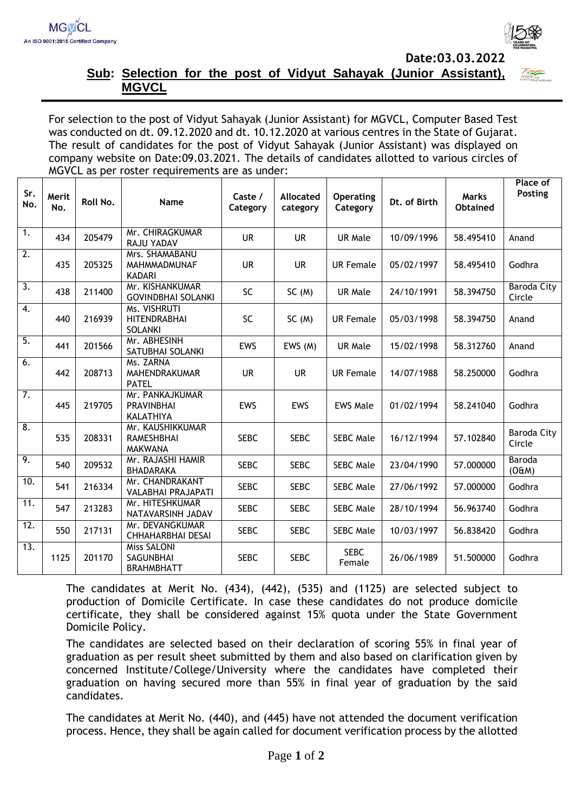

## **Sub: Selection for the post of Vidyut Sahayak (Junior Assistant), MGVCL**

For selection to the post of Vidyut Sahayak (Junior Assistant) for MGVCL, Computer Based Test was conducted on dt. 09.12.2020 and dt. 10.12.2020 at various centres in the State of Gujarat. The result of candidates for the post of Vidyut Sahayak (Junior Assistant) was displayed on company website on Date:09.03.2021. The details of candidates allotted to various circles of MGVCL as per roster requirements are as under:

| Sr.<br>No.        | Merit<br>No. | Roll No. | Name                                                    | Caste /<br>Category | Allocated<br>category | <b>Operating</b><br>Category | Dt. of Birth | <b>Marks</b><br><b>Obtained</b> | Place of<br>Posting   |
|-------------------|--------------|----------|---------------------------------------------------------|---------------------|-----------------------|------------------------------|--------------|---------------------------------|-----------------------|
| 1.                | 434          | 205479   | Mr. CHIRAGKUMAR<br>RAJU YADAV                           | <b>UR</b>           | <b>UR</b>             | <b>UR Male</b>               | 10/09/1996   | 58.495410                       | Anand                 |
| 2.                | 435          | 205325   | Mrs. SHAMABANU<br>MAHMMADMUNAF<br><b>KADARI</b>         | <b>UR</b>           | <b>UR</b>             | <b>UR Female</b>             | 05/02/1997   | 58.495410                       | Godhra                |
| 3.                | 438          | 211400   | Mr. KISHANKUMAR<br><b>GOVINDBHAI SOLANKI</b>            | <b>SC</b>           | SC(M)                 | <b>UR Male</b>               | 24/10/1991   | 58.394750                       | Baroda City<br>Circle |
| 4.                | 440          | 216939   | Ms. VISHRUTI<br><b>HITENDRABHAI</b><br><b>SOLANKI</b>   | <b>SC</b>           | SC(M)                 | <b>UR Female</b>             | 05/03/1998   | 58.394750                       | Anand                 |
| 5.                | 441          | 201566   | Mr. ABHESINH<br>SATUBHAI SOLANKI                        | <b>EWS</b>          | EWS (M)               | <b>UR Male</b>               | 15/02/1998   | 58.312760                       | Anand                 |
| 6.                | 442          | 208713   | Ms. ZARNA<br>MAHENDRAKUMAR<br><b>PATEL</b>              | <b>UR</b>           | <b>UR</b>             | <b>UR Female</b>             | 14/07/1988   | 58.250000                       | Godhra                |
| $\overline{7}$ .  | 445          | 219705   | Mr. PANKAJKUMAR<br><b>PRAVINBHAI</b><br>KALATHIYA       | <b>EWS</b>          | <b>EWS</b>            | <b>EWS Male</b>              | 01/02/1994   | 58.241040                       | Godhra                |
| 8.                | 535          | 208331   | Mr. KAUSHIKKUMAR<br><b>RAMESHBHAI</b><br><b>MAKWANA</b> | <b>SEBC</b>         | <b>SEBC</b>           | <b>SEBC Male</b>             | 16/12/1994   | 57.102840                       | Baroda City<br>Circle |
| 9.                | 540          | 209532   | Mr. RAJASHI HAMIR<br>BHADARAKA                          | <b>SEBC</b>         | <b>SEBC</b>           | <b>SEBC Male</b>             | 23/04/1990   | 57.000000                       | Baroda<br>(OÆM)       |
| 10.               | 541          | 216334   | Mr. CHANDRAKANT<br>VALABHAI PRAJAPATI                   | <b>SEBC</b>         | <b>SEBC</b>           | <b>SEBC Male</b>             | 27/06/1992   | 57.000000                       | Godhra                |
| 11.               | 547          | 213283   | Mr. HITESHKUMAR<br>NATAVARSINH JADAV                    | <b>SEBC</b>         | <b>SEBC</b>           | <b>SEBC Male</b>             | 28/10/1994   | 56.963740                       | Godhra                |
| $\overline{12}$ . | 550          | 217131   | Mr. DEVANGKUMAR<br>CHHAHARBHAI DESAI                    | <b>SEBC</b>         | <b>SEBC</b>           | <b>SEBC Male</b>             | 10/03/1997   | 56.838420                       | Godhra                |
| 13.               | 1125         | 201170   | Miss SALONI<br>SAGUNBHAI<br><b>BRAHMBHATT</b>           | <b>SEBC</b>         | <b>SEBC</b>           | <b>SEBC</b><br>Female        | 26/06/1989   | 51.500000                       | Godhra                |

The candidates at Merit No. (434), (442), (535) and (1125) are selected subject to production of Domicile Certificate. In case these candidates do not produce domicile certificate, they shall be considered against 15% quota under the State Government Domicile Policy.

The candidates are selected based on their declaration of scoring 55% in final year of graduation as per result sheet submitted by them and also based on clarification given by concerned Institute/College/University where the candidates have completed their graduation on having secured more than 55% in final year of graduation by the said candidates.

The candidates at Merit No. (440), and (445) have not attended the document verification process. Hence, they shall be again called for document verification process by the allotted